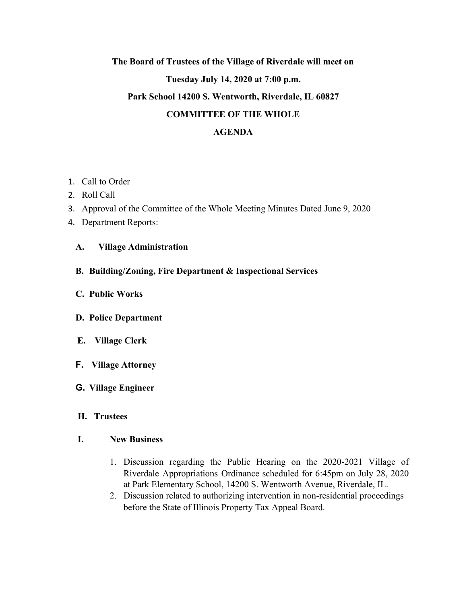# **The Board of Trustees of the Village of Riverdale will meet on Tuesday July 14, 2020 at 7:00 p.m. Park School 14200 S. Wentworth, Riverdale, IL 60827 COMMITTEE OF THE WHOLE**

## **AGENDA**

- 1. Call to Order
- 2. Roll Call
- 3. Approval of the Committee of the Whole Meeting Minutes Dated June 9, 2020
- 4. Department Reports:

### **A. Village Administration**

- **B. Building/Zoning, Fire Department & Inspectional Services**
- **C. Public Works**
- **D. Police Department**
- **E. Village Clerk**
- **F. Village Attorney**
- **G. Village Engineer**

### **H. Trustees**

### **I. New Business**

- 1. Discussion regarding the Public Hearing on the 2020-2021 Village of Riverdale Appropriations Ordinance scheduled for 6:45pm on July 28, 2020 at Park Elementary School, 14200 S. Wentworth Avenue, Riverdale, IL.
- 2. Discussion related to authorizing intervention in non-residential proceedings before the State of Illinois Property Tax Appeal Board.